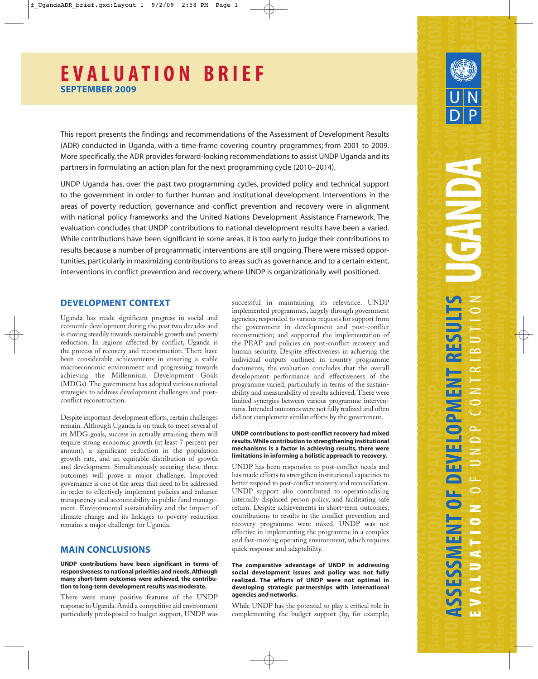# **EVALUATION BRIEF SEPTEMBER 2009**

This report presents the findings and recommendations of the Assessment of Development Results (ADR) conducted in Uganda, with a time-frame covering country programmes; from 2001 to 2009. More specifically, the ADR provides forward-looking recommendations to assist UNDP Uganda and its partners in formulating an action plan for the next programming cycle (2010–2014).

UNDP Uganda has, over the past two programming cycles, provided policy and technical support to the government in order to further human and institutional development. Interventions in the areas of poverty reduction, governance and conflict prevention and recovery were in alignment with national policy frameworks and the United Nations Development Assistance Framework. The evaluation concludes that UNDP contributions to national development results have been a varied. While contributions have been significant in some areas, it is too early to judge their contributions to results because a number of programmatic interventions are still ongoing. There were missed opportunities, particularly in maximizing contributions to areas such as governance, and to a certain extent, interventions in conflict prevention and recovery, where UNDP is organizationally well positioned.

## **DEVELOPMENT CONTEXT**

Uganda has made significant progress in social and economic development during the past two decades and is moving steadily towards sustainable growth and poverty reduction. In regions affected by conflict, Uganda is the process of recovery and reconstruction. There have been considerable achievements in ensuring a stable macroeconomic environment and progressing towards achieving the Millennium Development Goals (MDGs). The government has adopted various national strategies to address development challenges and postconflict reconstruction.

Despite important development efforts, certain challenges remain. Although Uganda is on track to meet several of its MDG goals, success in actually attaining them will require strong economic growth (at least 7 percent per annum), a significant reduction in the population growth rate, and an equitable distribution of growth and development. Simultaneously securing these three outcomes will prove a major challenge. Improved governance is one of the areas that need to be addressed in order to effectively implement policies and enhance transparency and accountability in public fund management. Environmental sustainability and the impact of climate change and its linkages to poverty reduction remains a major challenge for Uganda.

## **MAIN CONCLUSIONS**

#### **UNDP contributions have been significant in terms of responsiveness to national priorities and needs. Although many short-term outcomes were achieved, the contribution to long-term development results was moderate.**

There were many positive features of the UNDP response in Uganda. Amid a competitive aid environment particularly predisposed to budget support, UNDP was

successful in maintaining its relevance. UNDP implemented programmes, largely through government agencies; responded to various requests for support from the government in development and post-conflict reconstruction; and supported the implementation of the PEAP and policies on post-conflict recovery and human security. Despite effectiveness in achieving the individual outputs outlined in country programme documents, the evaluation concludes that the overall development performance and effectiveness of the programme varied, particularly in terms of the sustainability and measurability of results achieved. There were limited synergies between various programme interventions. Intended outcomes were not fully realized and often did not complement similar efforts by the government.

#### **UNDP contributions to post-conflict recovery had mixed results. While contribution to strengthening institutional mechanisms is a factor in achieving results, there were limitations in informing a holistic approach to recovery.**

UNDP has been responsive to post-conflict needs and has made efforts to strengthen institutional capacities to better respond to post-conflict recovery and reconciliation. UNDP support also contributed to operationalising internally displaced person policy, and facilitating safe return. Despite achievements in short-term outcomes, contributions to results in the conflict prevention and recovery programme were mixed. UNDP was not effective in implementing the programme in a complex and fast-moving operating environment, which requires quick response and adaptability.

#### **The comparative advantage of UNDP in addressing social development issues and policy was not fully realized. The efforts of UNDP were not optimal in developing strategic partnerships with international agencies and networks.**

While UNDP has the potential to play a critical role in complementing the budget support (by, for example,



**HUMAN DEVELOPMENT effectiveness COORDINATION AND PARTNERSHIP sustainability MANAGING FOR RES**